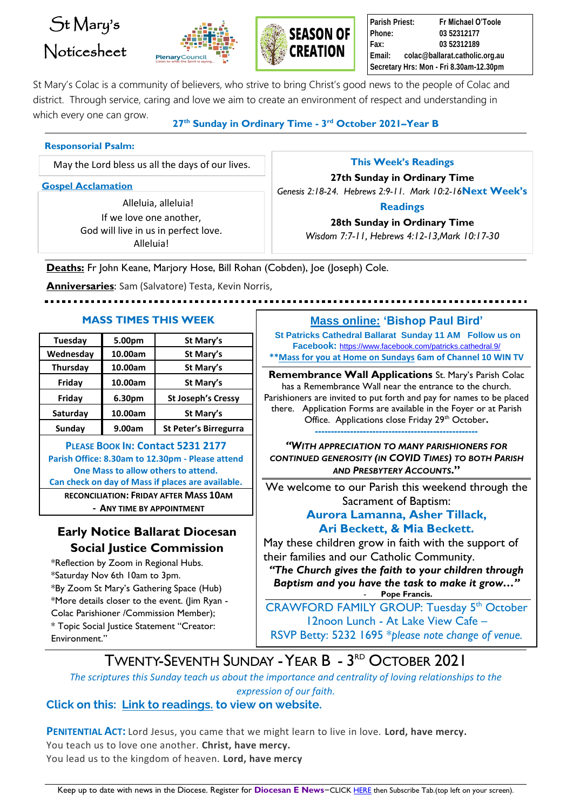# St Mary's Noticesheet





**Parish Priest: Fr Michael O'Toole Phone: 03 52312177 Fax: 03 52312189 Email: colac@ballarat.catholic.org.au Secretary Hrs: Mon - Fri 8.30am-12.30pm**

St Mary's Colac is a community of believers, who strive to bring Christ's good news to the people of Colac and district. Through service, caring and love we aim to create an environment of respect and understanding in which every one can grow.

**27 th Sunday in Ordinary Time - 3 rd October 2021–Year B**

#### **Responsorial Psalm:**

May the Lord bless us all the days of our lives.

**Gospel Acclamation**

Alleluia, alleluia! If we love one another, God will live in us in perfect love. Alleluia!

#### **This Week's Readings**

**27th Sunday in Ordinary Time**

*Genesis 2:18-24. Hebrews 2:9-11. Mark 10:2-16***Next Week's** 

#### **Readings**

**28th Sunday in Ordinary Time** *Wisdom 7:7-11, Hebrews 4:12-13,Mark 10:17-30*

**Deaths:** Fr John Keane, Marjory Hose, Bill Rohan (Cobden), Joe (Joseph) Cole.

**Anniversaries**: Sam (Salvatore) Testa, Kevin Norris,

| Tuesday   | 5.00pm  | St Mary's                    |
|-----------|---------|------------------------------|
| Wednesday | 10.00am | St Mary's                    |
| Thursday  | 10.00am | St Mary's                    |
| Friday    | 10.00am | St Mary's                    |
| Friday    | 6.30pm  | <b>St Joseph's Cressy</b>    |
| Saturday  | 10.00am | St Mary's                    |
| Sunday    | 9.00am  | <b>St Peter's Birregurra</b> |
|           |         |                              |

**PLEASE BOOK IN: Contact 5231 2177 Parish Office: 8.30am to 12.30pm - Please attend One Mass to allow others to attend. Can check on day of Mass if places are available. RECONCILIATION: FRIDAY AFTER MASS 10AM - ANY TIME BY APPOINTMENT**

# **Early Notice Ballarat Diocesan Social Justice Commission**

\*Reflection by Zoom in Regional Hubs. \*Saturday Nov 6th 10am to 3pm. \*By Zoom St Mary's Gathering Space (Hub) \*More details closer to the event. (Jim Ryan - Colac Parishioner /Commission Member); \* Topic Social Justice Statement "Creator: Environment."

# **MASS TIMES THIS WEEK Mass online: 'Bishop Paul Bird'**

**St Patricks Cathedral Ballarat Sunday 11 AM Follow us on Facebook:** <https://www.facebook.com/patricks.cathedral.9/> **\*\*Mass for you at Home on Sundays 6am of Channel 10 WIN TV**

**Remembrance Wall Applications** St. Mary's Parish Colac has a Remembrance Wall near the entrance to the church. Parishioners are invited to put forth and pay for names to be placed there. Application Forms are available in the Foyer or at Parish Office. Applications close Friday 29<sup>th</sup> October. **---------------------------------------------------**

*"WITH APPRECIATION TO MANY PARISHIONERS FOR CONTINUED GENEROSITY (IN COVID TIMES) TO BOTH PARISH AND PRESBYTERY ACCOUNTS***."**

We welcome to our Parish this weekend through the Sacrament of Baptism:

## **Aurora Lamanna, Asher Tillack, Ari Beckett, & Mia Beckett.**

May these children grow in faith with the support of their families and our Catholic Community.

*"The Church gives the faith to your children through Baptism and you have the task to make it grow…"* Pope Francis.

CRAWFORD FAMILY GROUP: Tuesday 5<sup>th</sup> October 12noon Lunch - At Lake View Cafe – RSVP Betty: 5232 1695 \**please note change of venue.*

# TWENTY-SEVENTH SUNDAY - YEAR B - 3<sup>rd</sup> October 2021

*The scriptures this Sunday teach us about the importance and centrality of loving relationships to the expression of our faith.*

## **Click on this: [Link to readings.](http://www.universalis.com/Australia/20211003/mass.html) to view on website.**

**PENITENTIAL ACT:** Lord Jesus, you came that we might learn to live in love. **Lord, have mercy.** You teach us to love one another. **Christ, have mercy.** You lead us to the kingdom of heaven. **Lord, have mercy**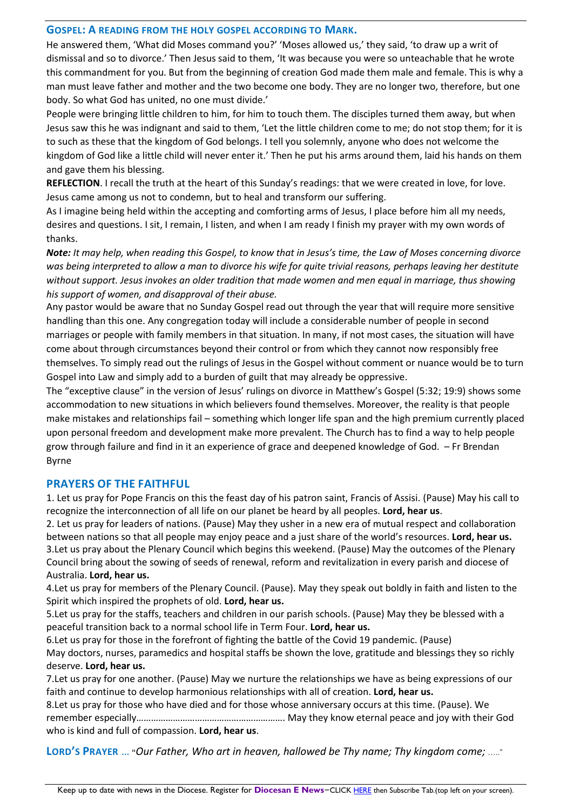#### **GOSPEL: A READING FROM THE HOLY GOSPEL ACCORDING TO MARK.**

He answered them, 'What did Moses command you?' 'Moses allowed us,' they said, 'to draw up a writ of dismissal and so to divorce.' Then Jesus said to them, 'It was because you were so unteachable that he wrote this commandment for you. But from the beginning of creation God made them male and female. This is why a man must leave father and mother and the two become one body. They are no longer two, therefore, but one body. So what God has united, no one must divide.'

People were bringing little children to him, for him to touch them. The disciples turned them away, but when Jesus saw this he was indignant and said to them, 'Let the little children come to me; do not stop them; for it is to such as these that the kingdom of God belongs. I tell you solemnly, anyone who does not welcome the kingdom of God like a little child will never enter it.' Then he put his arms around them, laid his hands on them and gave them his blessing.

**REFLECTION**. I recall the truth at the heart of this Sunday's readings: that we were created in love, for love. Jesus came among us not to condemn, but to heal and transform our suffering.

As I imagine being held within the accepting and comforting arms of Jesus, I place before him all my needs, desires and questions. I sit, I remain, I listen, and when I am ready I finish my prayer with my own words of thanks.

*Note: It may help, when reading this Gospel, to know that in Jesus's time, the Law of Moses concerning divorce was being interpreted to allow a man to divorce his wife for quite trivial reasons, perhaps leaving her destitute without support. Jesus invokes an older tradition that made women and men equal in marriage, thus showing his support of women, and disapproval of their abuse.*

Any pastor would be aware that no Sunday Gospel read out through the year that will require more sensitive handling than this one. Any congregation today will include a considerable number of people in second marriages or people with family members in that situation. In many, if not most cases, the situation will have come about through circumstances beyond their control or from which they cannot now responsibly free themselves. To simply read out the rulings of Jesus in the Gospel without comment or nuance would be to turn Gospel into Law and simply add to a burden of guilt that may already be oppressive.

The "exceptive clause" in the version of Jesus' rulings on divorce in Matthew's Gospel (5:32; 19:9) shows some accommodation to new situations in which believers found themselves. Moreover, the reality is that people make mistakes and relationships fail – something which longer life span and the high premium currently placed upon personal freedom and development make more prevalent. The Church has to find a way to help people grow through failure and find in it an experience of grace and deepened knowledge of God. – Fr Brendan Byrne

#### **PRAYERS OF THE FAITHFUL**

1. Let us pray for Pope Francis on this the feast day of his patron saint, Francis of Assisi. (Pause) May his call to recognize the interconnection of all life on our planet be heard by all peoples. **Lord, hear us**.

2. Let us pray for leaders of nations. (Pause) May they usher in a new era of mutual respect and collaboration between nations so that all people may enjoy peace and a just share of the world's resources. **Lord, hear us.** 3.Let us pray about the Plenary Council which begins this weekend. (Pause) May the outcomes of the Plenary Council bring about the sowing of seeds of renewal, reform and revitalization in every parish and diocese of Australia. **Lord, hear us.**

4.Let us pray for members of the Plenary Council. (Pause). May they speak out boldly in faith and listen to the Spirit which inspired the prophets of old. **Lord, hear us.**

5.Let us pray for the staffs, teachers and children in our parish schools. (Pause) May they be blessed with a peaceful transition back to a normal school life in Term Four. **Lord, hear us.**

6.Let us pray for those in the forefront of fighting the battle of the Covid 19 pandemic. (Pause) May doctors, nurses, paramedics and hospital staffs be shown the love, gratitude and blessings they so richly deserve. **Lord, hear us.**

7.Let us pray for one another. (Pause) May we nurture the relationships we have as being expressions of our faith and continue to develop harmonious relationships with all of creation. **Lord, hear us.**

8.Let us pray for those who have died and for those whose anniversary occurs at this time. (Pause). We remember especially……………………………………………………. May they know eternal peace and joy with their God who is kind and full of compassion. **Lord, hear us**.

**LORD'S PRAYER** … **"***Our Father, Who art in heaven, hallowed be Thy name; Thy kingdom come;* ….."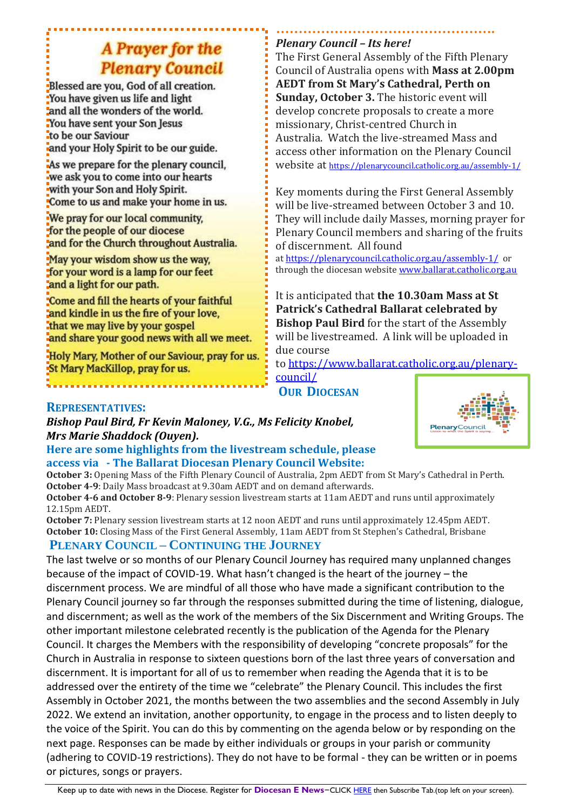# A Prayer for the **Plenary Council**

Blessed are you, God of all creation. You have given us life and light and all the wonders of the world. You have sent your Son Jesus to be our Saviour and your Holy Spirit to be our guide.

As we prepare for the plenary council. we ask you to come into our hearts with your Son and Holy Spirit. Come to us and make your home in us.

We pray for our local community. for the people of our diocese and for the Church throughout Australia.

May your wisdom show us the way. for your word is a lamp for our feet and a light for our path.

Come and fill the hearts of your faithful and kindle in us the fire of your love, that we may live by your gospel and share your good news with all we meet.

Holy Mary, Mother of our Saviour, pray for us. St Mary MacKillop, pray for us.

### **………………………………………….** *Plenary Council – Its here!*

The First General Assembly of the Fifth Plenary Council of Australia opens with **Mass at 2.00pm AEDT from St Mary's Cathedral, Perth on Sunday, October 3.** The historic event will develop concrete proposals to create a more missionary, Christ-centred Church in Australia. Watch the live-streamed Mass and access other information on the Plenary Council website at <https://plenarycouncil.catholic.org.au/assembly-1/>

Key moments during the First General Assembly will be live-streamed between October 3 and 10. They will include daily Masses, morning prayer for Plenary Council members and sharing of the fruits of discernment. All found

at <https://plenarycouncil.catholic.org.au/assembly-1/> or through the diocesan website [www.ballarat.catholic.org.au](http://www.ballarat.catholic.org.au/)

It is anticipated that **the 10.30am Mass at St Patrick's Cathedral Ballarat celebrated by Bishop Paul Bird** for the start of the Assembly will be livestreamed. A link will be uploaded in due course

to [https://www.ballarat.catholic.org.au/plenary](https://www.ballarat.catholic.org.au/plenary-council/)[council/](https://www.ballarat.catholic.org.au/plenary-council/)

**OUR DIOCESAN**

## **REPRESENTATIVES:**

*Bishop Paul Bird, Fr Kevin Maloney, V.G., Ms Felicity Knobel, Mrs Marie Shaddock (Ouyen).*

#### **Here are some highlights from the livestream schedule, please access via - The Ballarat Diocesan Plenary Council Website:**

**October 3:** Opening Mass of the Fifth Plenary Council of Australia, 2pm AEDT from St Mary's Cathedral in Perth. **October 4-9**: Daily Mass broadcast at 9.30am AEDT and on demand afterwards.

**October 4-6 and October 8-9**: Plenary session livestream starts at 11am AEDT and runs until approximately 12.15pm AEDT.

**October 7:** Plenary session livestream starts at 12 noon AEDT and runs until approximately 12.45pm AEDT. **October 10:** Closing Mass of the First General Assembly, 11am AEDT from St Stephen's Cathedral, Brisbane

# **PLENARY COUNCIL – CONTINUING THE JOURNEY**

The last twelve or so months of our Plenary Council Journey has required many unplanned changes because of the impact of COVID-19. What hasn't changed is the heart of the journey – the discernment process. We are mindful of all those who have made a significant contribution to the Plenary Council journey so far through the responses submitted during the time of listening, dialogue, and discernment; as well as the work of the members of the Six Discernment and Writing Groups. The other important milestone celebrated recently is the publication of the Agenda for the Plenary Council. It charges the Members with the responsibility of developing "concrete proposals" for the Church in Australia in response to sixteen questions born of the last three years of conversation and discernment. It is important for all of us to remember when reading the Agenda that it is to be addressed over the entirety of the time we "celebrate" the Plenary Council. This includes the first Assembly in October 2021, the months between the two assemblies and the second Assembly in July 2022. We extend an invitation, another opportunity, to engage in the process and to listen deeply to the voice of the Spirit. You can do this by commenting on the agenda below or by responding on the next page. Responses can be made by either individuals or groups in your parish or community (adhering to COVID-19 restrictions). They do not have to be formal - they can be written or in poems or pictures, songs or prayers.